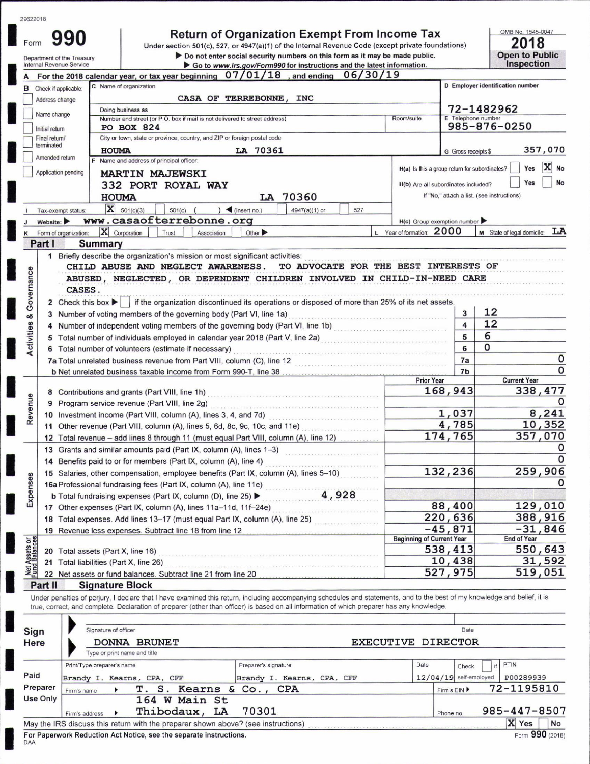|  |  |  | 29622018 |  |
|--|--|--|----------|--|
|  |  |  |          |  |

Form 990

Department of the Treasury

## Return of Organization Exempt From Income Tax

Under section 501(c), 527, or 4947(a)(1) of the Internal Revenue Code (except private foundations) ightharpoonup Do not enter social security numbers on this form as it may be made public.<br>► Go to www.irs gov/Form990 for instructions and the latest information

OMB No. 1545-0047  $2018$ 

| ZU I U                |  |
|-----------------------|--|
| <b>Open to Public</b> |  |
| <b>Inspection</b>     |  |

| A                              |                               | Go to www.irs.gov/Forms90 for instructions and the latest information.<br>For the 2018 calendar year, or tax year beginning $07/01/18$ , and ending<br>06/30/19                           |                                               |                               | <b>HISPCCLOTE</b>                          |  |
|--------------------------------|-------------------------------|-------------------------------------------------------------------------------------------------------------------------------------------------------------------------------------------|-----------------------------------------------|-------------------------------|--------------------------------------------|--|
|                                | <b>B</b> Check if applicable: | C Name of organization                                                                                                                                                                    |                                               |                               | D Employer identification number           |  |
|                                | Address change                | CASA OF TERREBONNE, INC                                                                                                                                                                   |                                               |                               |                                            |  |
|                                | Name change                   | Doing business as                                                                                                                                                                         | 72-1482962                                    |                               |                                            |  |
|                                |                               | Number and street (or P.O. box if mail is not delivered to street address)                                                                                                                | E Telephone number                            | 985-876-0250                  |                                            |  |
|                                | Initial return                | <b>PO BOX 824</b><br>City or town, state or province, country, and ZIP or foreign postal code                                                                                             |                                               |                               |                                            |  |
|                                | Final return/<br>terminated   |                                                                                                                                                                                           |                                               |                               |                                            |  |
|                                | Amended return                | LA 70361<br><b>HOUMA</b><br>F Name and address of principal officer:                                                                                                                      |                                               | G Gross receipts \$           | 357,070                                    |  |
|                                | Application pending           |                                                                                                                                                                                           | H(a) Is this a group return for subordinates? |                               | X No<br>Yes                                |  |
|                                |                               | <b>MARTIN MAJEWSKI</b>                                                                                                                                                                    |                                               |                               | <b>No</b><br>Yes                           |  |
|                                |                               | 332 PORT ROYAL WAY                                                                                                                                                                        | H(b) Are all subordinates included?           |                               |                                            |  |
|                                |                               | LA 70360<br><b>HOUMA</b>                                                                                                                                                                  |                                               |                               | If "No," attach a list. (see instructions) |  |
|                                | Tax-exempt status:            | $X = 501(c)(3)$<br>$\int$ (insert no.)<br>$501(c)$ (<br>527<br>4947(a)(1) or                                                                                                              |                                               |                               |                                            |  |
|                                | Website:                      | www.casaofterrebonne.org                                                                                                                                                                  |                                               | $H(c)$ Group exemption number |                                            |  |
|                                |                               | X Corporation<br>Other ><br>Trust<br>K Form of organization:<br>Association                                                                                                               | Year of formation: 2000                       |                               | M State of legal domicile: LA              |  |
|                                | Part I                        | <b>Summary</b>                                                                                                                                                                            |                                               |                               |                                            |  |
|                                |                               | 1 Briefly describe the organization's mission or most significant activities:                                                                                                             |                                               |                               |                                            |  |
|                                |                               | TO ADVOCATE FOR THE BEST INTERESTS OF<br>CHILD ABUSE AND NEGLECT AWARENESS.                                                                                                               |                                               |                               |                                            |  |
|                                |                               | 2 Check this box   if the organization discontinued its operations or disposed of more than 25% of its net assets.<br>3 Number of voting members of the governing body (Part VI, line 1a) |                                               | 3                             | 12                                         |  |
|                                |                               | 4 Number of independent voting members of the governing body (Part VI, line 1b)                                                                                                           |                                               | 4                             | 12                                         |  |
|                                |                               | Total number of individuals employed in calendar year 2018 (Part V, line 2a)                                                                                                              |                                               | 5                             | 6                                          |  |
| Activities & Governance        |                               | Total number of volunteers (estimate if necessary)                                                                                                                                        |                                               | 6                             | $\Omega$                                   |  |
|                                |                               | 7a Total unrelated business revenue from Part VIII, column (C), line 12                                                                                                                   |                                               | 7a                            | $\mathbf 0$                                |  |
|                                |                               | b Net unrelated business taxable income from Form 990-T, line 38                                                                                                                          |                                               | 7 <sub>b</sub>                | $\Omega$                                   |  |
|                                |                               |                                                                                                                                                                                           | <b>Prior Year</b>                             |                               | <b>Current Year</b>                        |  |
|                                |                               | 8 Contributions and grants (Part VIII, line 1h)                                                                                                                                           |                                               | 168,943                       | 338,477                                    |  |
| Revenue                        |                               | 9 Program service revenue (Part VIII, line 2g)                                                                                                                                            |                                               |                               |                                            |  |
|                                |                               | 10 Investment income (Part VIII, column (A), lines 3, 4, and 7d)                                                                                                                          |                                               | 1,037                         | 8,241                                      |  |
|                                |                               | 11 Other revenue (Part VIII, column (A), lines 5, 6d, 8c, 9c, 10c, and 11e)                                                                                                               |                                               | 4,785                         | 10,352                                     |  |
|                                |                               | 12 Total revenue - add lines 8 through 11 (must equal Part VIII, column (A), line 12)                                                                                                     |                                               | 174,765                       | 357,070                                    |  |
|                                |                               | 13 Grants and similar amounts paid (Part IX, column (A), lines 1-3)                                                                                                                       |                                               |                               |                                            |  |
|                                |                               | 14 Benefits paid to or for members (Part IX, column (A), line 4)                                                                                                                          |                                               |                               |                                            |  |
|                                |                               | 15 Salaries, other compensation, employee benefits (Part IX, column (A), lines 5-10)                                                                                                      |                                               | 132,236                       | 259,906                                    |  |
| penses                         |                               | 16a Professional fundraising fees (Part IX, column (A), line 11e)                                                                                                                         |                                               |                               |                                            |  |
|                                |                               | 4,928<br><b>b</b> Total fundraising expenses (Part IX, column (D), line 25) $\blacktriangleright$                                                                                         |                                               |                               |                                            |  |
| ΕX                             |                               | 17 Other expenses (Part IX, column (A), lines 11a-11d, 11f-24e)                                                                                                                           |                                               | 88,400                        | 129,010                                    |  |
|                                |                               | 18 Total expenses. Add lines 13-17 (must equal Part IX, column (A), line 25)                                                                                                              |                                               | 220,636                       | 388,916                                    |  |
|                                |                               | 19 Revenue less expenses. Subtract line 18 from line 12                                                                                                                                   |                                               | $-45,871$                     | $-31,846$                                  |  |
|                                |                               |                                                                                                                                                                                           | <b>Beginning of Current Year</b>              |                               | <b>End of Year</b>                         |  |
| Net Assets or<br>Fund Balances |                               | 20 Total assets (Part X, line 16)                                                                                                                                                         |                                               | 538,413                       | 550,643                                    |  |
|                                |                               | 21 Total liabilities (Part X, line 26)                                                                                                                                                    |                                               | 10,438                        | 31,592                                     |  |
|                                |                               | 22 Net assets or fund balances. Subtract line 21 from line 20                                                                                                                             |                                               | 527,975                       | 519,051                                    |  |
|                                | Part II                       | <b>Signature Block</b>                                                                                                                                                                    |                                               |                               |                                            |  |
|                                |                               | Under penalties of perjury, I declare that I have examined this return, including accompanying schedules and statements, and to the best of my knowledge and belief, it is                |                                               |                               |                                            |  |
|                                |                               | true, correct, and complete. Declaration of preparer (other than officer) is based on all information of which preparer has any knowledge.                                                |                                               |                               |                                            |  |
|                                |                               |                                                                                                                                                                                           |                                               |                               |                                            |  |
| Simm                           |                               | Signature of officer                                                                                                                                                                      |                                               | Date                          |                                            |  |

| <b>Plan</b><br>Here |                                           | DONNA BRUNET                                                                      | EXECUTIVE DIRECTOR         |      |                          |                 |
|---------------------|-------------------------------------------|-----------------------------------------------------------------------------------|----------------------------|------|--------------------------|-----------------|
|                     | Print/Type preparer's name                | Type or print name and title                                                      | Preparer's signature       | Date | Check                    | PTIN            |
| Paid                |                                           | Brandy I. Kearns, CPA, CFF                                                        | Brandy I. Kearns, CPA, CFF |      | $12/04/19$ self-employed | P00289939       |
| Preparer            | S. Kearns & Co., CPA<br>т.<br>Firm's name |                                                                                   |                            |      | Firm's EIN               | 72-1195810      |
| Use Only            | Firm's address                            | 164 W Main St<br>Thibodaux, LA                                                    | 70301                      |      | Phone no.                | 985-447-8507    |
|                     |                                           | May the IRS discuss this return with the preparer shown above? (see instructions) |                            |      |                          | X<br>No<br>Yes  |
| DAA                 |                                           | For Paperwork Reduction Act Notice, see the separate instructions.                |                            |      |                          | Form 990 (2018) |